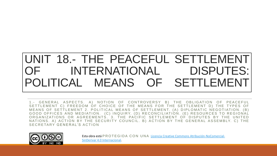#### UNIT 18.- THE PEACEFUL SETTLEMENT INTERNATIONAL DISPUTES: POLITICAL MEANS OF SETTLEMENT

1.- GENERAL ASPECTS. A) NOTION OF CONTROVERSY B) THE OBLIGATION OF PEACEFUL SETTLEMENT C) FREEDOM OF CHOICE OF THE MEANS FOR THE SETTLEMENT D) THE TYPES OF MEANS OF SETTLEMENT 2. POLITICAL MEANS OF SETTLEMENT. (A) DIPLOMATIC NEGOTIATION. (B) GOOD OFFICES AND MEDIATION. (C) INQUIRY. (D) RECONCILIATION. (E) RESOURCES TO REGIONAL ORGANIZATIONS OR AGREEMENTS. 3. THE PACIFIC SETTLEMENT OF DISPUTES BY THE UNITED NATIONS. A) ACTION BY THE SECURITY COUNCIL. B) ACTION BY THE GENERAL ASSEMBLY. C) THE S F C R E T A R Y G E N E R A I 'S A C T I O N



Esta obra está [P R O T E G I D A C O N U N A](https://creativecommons.org/licenses/by-nc-nd/4.0/) Licencia Creative Commons Atribución-NoComercial-SinDerivar 4.0 Internacional.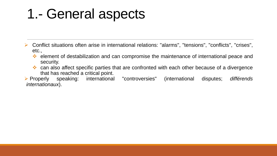# 1.- General aspects

- ➢ Conflict situations often arise in international relations: "alarms", "tensions", "conflicts", "crises", etc.,
	- ❖ element of destabilization and can compromise the maintenance of international peace and security.
	- ❖ can also affect specific parties that are confronted with each other because of a divergence that has reached a critical point.

➢ Properly speaking: international "controversies" (international disputes; *différends internationaux*).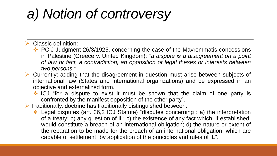# *a) Notion of controversy*

 $\triangleright$  Classic definition:

- ❖ PCIJ Judgment 26/3/1925, concerning the case of the Mavrommatis concessions in Palestine (Greece v. United Kingdom): *"a dispute is a disagreement on a point of law or fact, a contradiction, an opposition of legal theses or interests between two persons."*
- ➢ Currently: adding that the disagreement in question must arise between subjects of international law (States and international organizations) and be expressed in an objective and externalized form.
	- ❖ ICJ "for a dispute to exist it must be shown that the claim of one party is confronted by the manifest opposition of the other party".
- ➢ Traditionally, doctrine has traditionally distinguished between:
	- ❖ Legal disputes (art. 36,2 ICJ Statute) "disputes concerning : a) the interpretation of a treaty; b) any question of IL; c) the existence of any fact which, if established, would constitute a breach of an international obligation; d) the nature or extent of the reparation to be made for the breach of an international obligation, which are capable of settlement "by application of the principles and rules of IL".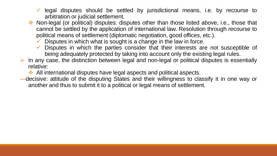- legal disputes should be settled by jurisdictional means, i.e. by recourse to arbitration or judicial settlement.
- ❖ Non-legal (or political) disputes: disputes other than those listed above, i.e., those that cannot be settled by the application of international law. Resolution through recourse to political means of settlement (diplomatic negotiation, good offices, etc.).
	- $\checkmark$  Disputes in which what is sought is a change in the law in force.
	- $\checkmark$  Disputes in which the parties consider that their interests are not susceptible of being adequately protected by taking into account only the existing legal rules.
- $\triangleright$  In any case, the distinction between legal and non-legal or political disputes is essentially relative:

❖ All international disputes have legal aspects and political aspects.

**---**decisive: attitude of the disputing States and their willingness to classify it in one way or another and thus to submit it to a political or legal means of settlement.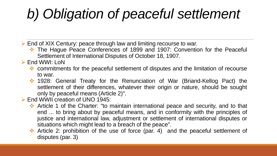# *b) Obligation of peaceful settlement*

➢ End of XIX Century: peace through law and limiting recourse to war.

- ❖ The Hague Peace Conferences of 1899 and 1907: Convention for the Peaceful Settlement of International Disputes of October 18, 1907.
- ➢ End WWI: LoN
	- ❖ commitments for the peaceful settlement of disputes and the limitation of recourse to war.
	- ❖ 1928: General Treaty for the Renunciation of War (Briand-Kellog Pact) the settlement of their differences, whatever their origin or nature, should be sought only by peaceful means (Article 2)".

#### ➢ End WWII creation of UNO 1945:

- ❖ Article 1 of the Charter: "to maintain international peace and security, and to that end ... to bring about by peaceful means, and in conformity with the principles of justice and international law, adjustment or settlement of international disputes or situations which might lead to a breach of the peace".
- ❖ Article 2: prohibition of the use of force (par. 4) and the peaceful settlement of disputes (par. 3)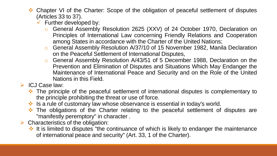- Chapter VI of the Charter: Scope of the obligation of peaceful settlement of disputes (Articles 33 to 37).
	- Further developed by:
		- o General Assembly Resolution 2625 (XXV) of 24 October 1970, Declaration on Principles of International Law concerning Friendly Relations and Cooperation among States in accordance with the Charter of the United Nations;
		- o General Assembly Resolution A/37/10 of 15 November 1982, Manila Declaration on the Peaceful Settlement of International Disputes,
		- o General Assembly Resolution A/43/51 of 5 December 1988, Declaration on the Prevention and Elimination of Disputes and Situations Which May Endanger the Maintenance of International Peace and Security and on the Role of the United Nations in this Field.
- ➢ ICJ Case law:
	- ❖ The principle of the peaceful settlement of international disputes is complementary to the principle prohibiting the threat or use of force.
	- ❖ Is a rule of customary law whose observance is essential in today's world.
	- ❖ The obligations of the Charter relating to the peaceful settlement of disputes are "manifestly peremptory" in character .
- $\triangleright$  Characteristics of the obligation:
	- ❖ It is limited to disputes "the continuance of which is likely to endanger the maintenance of international peace and security" (Art. 33, 1 of the Charter).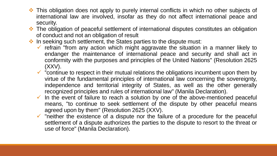- ❖ This obligation does not apply to purely internal conflicts in which no other subjects of international law are involved, insofar as they do not affect international peace and security.
- ❖ The obligation of peaceful settlement of international disputes constitutes an obligation of conduct and not an obligation of result
- ❖ In seeking such settlement, the States parties to the dispute must:
	- $\checkmark$  refrain "from any action which might aggravate the situation in a manner likely to endanger the maintenance of international peace and security and shall act in conformity with the purposes and principles of the United Nations" (Resolution 2625  $(XXV)$ .
	- $\checkmark$  "continue to respect in their mutual relations the obligations incumbent upon them by virtue of the fundamental principles of international law concerning the sovereignty, independence and territorial integrity of States, as well as the other generally recognized principles and rules of international law" (Manila Declaration).
	- $\checkmark$  In the event of failure to reach a solution by one of the above-mentioned peaceful means, "to continue to seek settlement of the dispute by other peaceful means agreed upon by them" (Resolution 2625 (XXV).
	- $\checkmark$  "neither the existence of a dispute nor the failure of a procedure for the peaceful settlement of a dispute authorizes the parties to the dispute to resort to the threat or use of force" (Manila Declaration).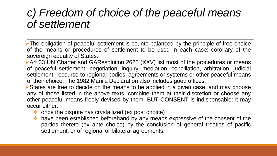#### *c) Freedom of choice of the peaceful means of settlement*

- ➢The obligation of peaceful settlement is counterbalanced by the principle of free choice of the means or procedures of settlement to be used in each case: corollary of the sovereign equality of States.
- ➢Art 33 UN Charter and GAResolution 2625 (XXV) list most of the procedures or means of peaceful settlement: negotiation, inquiry, mediation, conciliation, arbitration, judicial settlement, recourse to regional bodies, agreements or systems or other peaceful means of their choice. The 1982 Manila Declaration also includes good offices.
- ➢States are free to decide on the means to be applied in a given case, and may choose any of those listed in the above texts, combine them at their discretion or choose any other peaceful means freely devised by them. BUT CONSENT is indispensable: it may occur either:
	- ❖ once the dispute has crystallized (ex post choice)
	- ❖ have been established beforehand by any means expressive of the consent of the parties thereto (ex ante choice) by the conclusion of general treaties of pacific settlement, or of regional or bilateral agreements.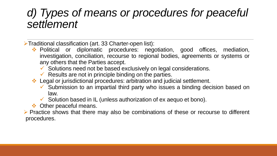#### *d) Types of means or procedures for peaceful settlement*

➢Traditional classification (art. 33 Charter-open list):

- ❖ Political or diplomatic procedures: negotiation, good offices, mediation, investigation, conciliation, recourse to regional bodies, agreements or systems or any others that the Parties accept.
	- $\checkmark$  Solutions need not be based exclusively on legal considerations.
	- $\checkmark$  Results are not in principle binding on the parties.
- ❖ Legal or jurisdictional procedures: arbitration and judicial settlement.
	- ✓ Submission to an impartial third party who issues a binding decision based on law.
	- $\checkmark$  Solution based in IL (unless authorization of ex aequo et bono).
- ❖ Other peaceful means.

➢ Practice shows that there may also be combinations of these or recourse to different procedures.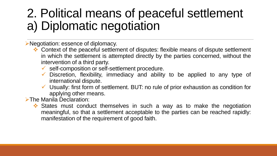### 2. Political means of peaceful settlement a) Diplomatic negotiation

#### ➢Negotiation: essence of diplomacy.

- ❖ Context of the peaceful settlement of disputes: flexible means of dispute settlement in which the settlement is attempted directly by the parties concerned, without the intervention of a third party.
	- $\checkmark$  self-composition or self-settlement procedure.
	- $\checkmark$  Discretion, flexibility, immediacy and ability to be applied to any type of international dispute.
	- $\checkmark$  Usually: first form of settlement. BUT: no rule of prior exhaustion as condition for applying other means.

#### ➢The Manila Declaration:

❖ States must conduct themselves in such a way as to make the negotiation meaningful, so that a settlement acceptable to the parties can be reached rapidly: manifestation of the requirement of good faith.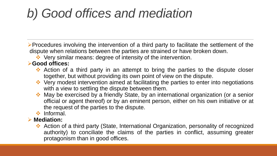## *b) Good offices and mediation*

➢Procedures involving the intervention of a third party to facilitate the settlement of the dispute when relations between the parties are strained or have broken down.

❖ Very similar means: degree of intensity of the intervention.

#### ➢**Good offices:**

- ❖ Action of a third party in an attempt to bring the parties to the dispute closer together, but without providing its own point of view on the dispute.
- ❖ Very modest intervention aimed at facilitating the parties to enter into negotiations with a view to settling the dispute between them.
- ❖ May be exercised by a friendly State, by an international organization (or a senior official or agent thereof) or by an eminent person, either on his own initiative or at the request of the parties to the dispute.
- ❖ Informal.
- ➢ **Mediation:**
	- ❖ Action of a third party (State, International Organization, personality of recognized authority) to conciliate the claims of the parties in conflict, assuming greater protagonism than in good offices.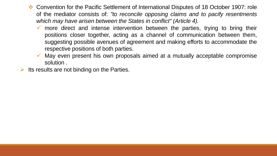- ❖ Convention for the Pacific Settlement of International Disputes of 18 October 1907: role of the mediator consists of: *"to reconcile opposing claims and to pacify resentments which may have arisen between the States in conflict" (Article 4).*
	- $\checkmark$  more direct and intense intervention between the parties, trying to bring their positions closer together, acting as a channel of communication between them, suggesting possible avenues of agreement and making efforts to accommodate the respective positions of both parties.
	- May even present his own proposals aimed at a mutually acceptable compromise solution .
- Its results are not binding on the Parties.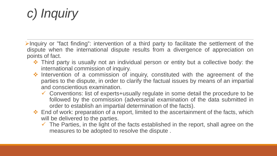## *c) Inquiry*

- ➢Inquiry or "fact finding": intervention of a third party to facilitate the settlement of the dispute when the international dispute results from a divergence of appreciation on points of fact.
	- ❖ Third party is usually not an individual person or entity but a collective body: the international commission of inquiry.
	- ❖ Intervention of a commission of inquiry, constituted with the agreement of the parties to the dispute, in order to clarify the factual issues by means of an impartial and conscientious examination.
		- ✓ Conventions: list of experts+usually regulate in some detail the procedure to be followed by the commission (adversarial examination of the data submitted in order to establish an impartial determination of the facts).
	- ❖ End of work: preparation of a report, limited to the ascertainment of the facts, which will be delivered to the parties.
		- $\checkmark$  The Parties, in the light of the facts established in the report, shall agree on the measures to be adopted to resolve the dispute .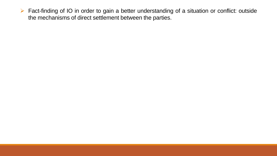➢ Fact-finding of IO in order to gain a better understanding of a situation or conflict: outside the mechanisms of direct settlement between the parties.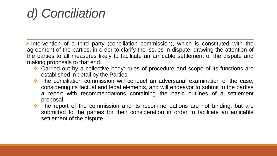### *d) Conciliation*

➢ Intervention of a third party (conciliation commission), which is constituted with the agreement of the parties, in order to clarify the issues in dispute, drawing the attention of the parties to all measures likely to facilitate an amicable settlement of the dispute and making proposals to that end.

- ❖ Carried out by a collective body: rules of procedure and scope of its functions are established in detail by the Parties.
- ❖ The conciliation commission will conduct an adversarial examination of the case, considering its factual and legal elements, and will endeavor to submit to the parties a report with recommendations containing the basic outlines of a settlement proposal.
- ❖ The report of the commission and its recommendations are not binding, but are submitted to the parties for their consideration in order to facilitate an amicable settlement of the dispute.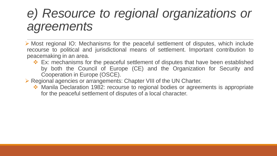### *e) Resource to regional organizations or agreements*

➢ Most regional IO: Mechanisms for the peaceful settlement of disputes, which include recourse to political and jurisdictional means of settlement. Important contribution to peacemaking in an area.

- ❖ Ex: mechanisms for the peaceful settlement of disputes that have been established by both the Council of Europe (CE) and the Organization for Security and Cooperation in Europe (OSCE).
- ➢ Regional agencies or arrangements: Chapter VIII of the UN Charter.
	- ❖ Manila Declaration 1982: recourse to regional bodies or agreements is appropriate for the peaceful settlement of disputes of a local character.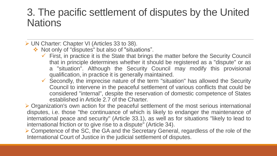#### 3. The pacific settlement of disputes by the United **Nations**

➢ UN Charter: Chapter VI (Articles 33 to 38).

- ❖ Not only of "disputes" but also of "situations".
	- $\checkmark$  First, in practice it is the State that brings the matter before the Security Council that in principle determines whether it should be registered as a "dispute" or as a "situation". Although the Security Council may modify this provisional qualification, in practice it is generally maintained.
	- $\checkmark$  Secondly, the imprecise nature of the term "situation" has allowed the Security Council to intervene in the peaceful settlement of various conflicts that could be considered "internal", despite the reservation of domestic competence of States established in Article 2.7 of the Charter.

➢ Organization's own action for the peaceful settlement of the most serious international disputes, i.e. those "the continuance of which is likely to endanger the maintenance of international peace and security" (Article 33.1), as well as for situations "likely to lead to international friction or to give rise to a dispute" (Article 34).

➢ Competence of the SC, the GA and the Secretary General, regardless of the role of the International Court of Justice in the judicial settlement of disputes.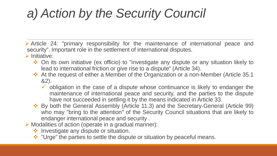## *a) Action by the Security Council*

- ➢ Article 24: "primary responsibility for the maintenance of international peace and security". Important role in the settlement of international disputes.
- ➢ Initiative:
	- ❖ On its own initiative (ex officio) to "investigate any dispute or any situation likely to lead to international friction or give rise to a dispute" (Article 34).
	- ❖ At the request of either a Member of the Organization or a non-Member (Article 35.1 &2).
		- $\checkmark$  obligation in the case of a dispute whose continuance is likely to endanger the maintenance of international peace and security, and the parties to the dispute have not succeeded in settling it by the means indicated in Article 33.
	- ❖ By both the General Assembly (Article 11.3) and the Secretary-General (Article 99) who may "bring to the attention" of the Security Council situations that are likely to endanger international peace and security .
- ➢ Modalities of action (operate in a gradual manner):
	- ❖ Investigate any dispute or situation.
	- ❖ "Urge" the parties to settle the dispute or situation by peaceful means.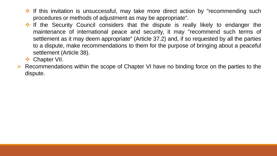- ❖ If this invitation is unsuccessful, may take more direct action by "recommending such procedures or methods of adjustment as may be appropriate".
- ❖ If the Security Council considers that the dispute is really likely to endanger the maintenance of international peace and security, it may "recommend such terms of settlement as it may deem appropriate" (Article 37.2) and, if so requested by all the parties to a dispute, make recommendations to them for the purpose of bringing about a peaceful settlement (Article 38).
- ❖ Chapter VII.
- ➢ Recommendations within the scope of Chapter VI have no binding force on the parties to the dispute.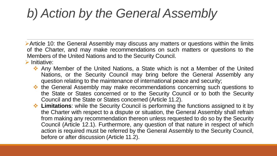### *b) Action by the General Assembly*

➢Article 10: the General Assembly may discuss any matters or questions within the limits of the Charter, and may make recommendations on such matters or questions to the Members of the United Nations and to the Security Council.

➢ Initiative:

- ❖ Any Member of the United Nations, a State which is not a Member of the United Nations, or the Security Council may bring before the General Assembly any question relating to the maintenance of international peace and security;
- ❖ the General Assembly may make recommendations concerning such questions to the State or States concerned or to the Security Council or to both the Security Council and the State or States concerned (Article 11.2).
- ❖ **Limitations**: while the Security Council is performing the functions assigned to it by the Charter with respect to a dispute or situation, the General Assembly shall refrain from making any recommendation thereon unless requested to do so by the Security Council (Article 12.1). Furthermore, any question of that nature in respect of which action is required must be referred by the General Assembly to the Security Council, before or after discussion (Article 11.2).